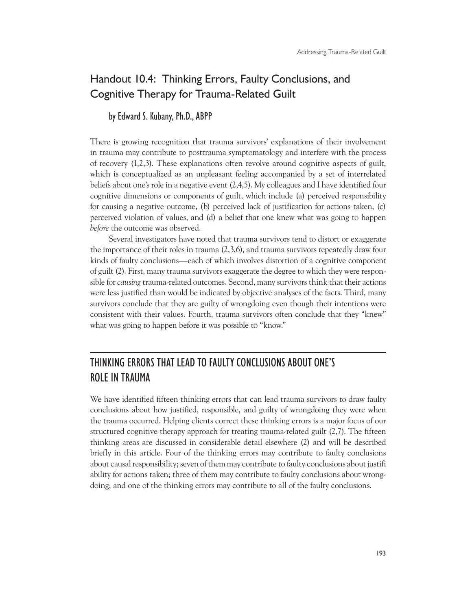## Handout 10.4: Thinking Errors, Faulty Conclusions, and Cognitive Therapy for Trauma-Related Guilt

## by Edward S. Kubany, Ph.D., ABPP

There is growing recognition that trauma survivors' explanations of their involvement in trauma may contribute to posttrauma symptomatology and interfere with the process of recovery (1,2,3). These explanations often revolve around cognitive aspects of guilt, which is conceptualized as an unpleasant feeling accompanied by a set of interrelated beliefs about one's role in a negative event (2,4,5). My colleagues and I have identified four cognitive dimensions or components of guilt, which include (a) perceived responsibility for causing a negative outcome, (b) perceived lack of justification for actions taken, (c) perceived violation of values, and (d) a belief that one knew what was going to happen *before* the outcome was observed.

Several investigators have noted that trauma survivors tend to distort or exaggerate the importance of their roles in trauma (2,3,6), and trauma survivors repeatedly draw four kinds of faulty conclusions—each of which involves distortion of a cognitive component of guilt (2). First, many trauma survivors exaggerate the degree to which they were responsible for *causing* trauma-related outcomes. Second, many survivors think that their actions were less justified than would be indicated by objective analyses of the facts. Third, many survivors conclude that they are guilty of wrongdoing even though their intentions were consistent with their values. Fourth, trauma survivors often conclude that they "knew" what was going to happen before it was possible to "know."

# THINKING ERRORS THAT LEAD TO FAULTY CONCLUSIONS ABOUT ONE'S ROLE IN TRAUMA

We have identified fifteen thinking errors that can lead trauma survivors to draw faulty conclusions about how justified, responsible, and guilty of wrongdoing they were when the trauma occurred. Helping clients correct these thinking errors is a major focus of our structured cognitive therapy approach for treating trauma-related guilt  $(2,7)$ . The fifteen thinking areas are discussed in considerable detail elsewhere (2) and will be described briefly in this article. Four of the thinking errors may contribute to faulty conclusions about causal responsibility; seven of them may contribute to faulty conclusions about justifi ability for actions taken; three of them may contribute to faulty conclusions about wrongdoing; and one of the thinking errors may contribute to all of the faulty conclusions.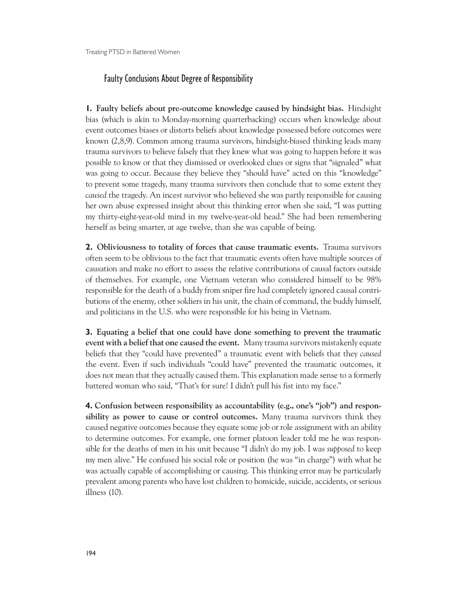### Faulty Conclusions About Degree of Responsibility

**1. Faulty beliefs about pre-outcome knowledge caused by hindsight bias.** Hindsight bias (which is akin to Monday-morning quarterbacking) occurs when knowledge about event outcomes biases or distorts beliefs about knowledge possessed before outcomes were known (2,8,9). Common among trauma survivors, hindsight-biased thinking leads many trauma survivors to believe falsely that they knew what was going to happen before it was possible to know or that they dismissed or overlooked clues or signs that "signaled" what was going to occur. Because they believe they "should have" acted on this "knowledge" to prevent some tragedy, many trauma survivors then conclude that to some extent they *caused* the tragedy. An incest survivor who believed she was partly responsible for causing her own abuse expressed insight about this thinking error when she said, "I was putting my thirty-eight-year-old mind in my twelve-year-old head." She had been remembering herself as being smarter, at age twelve, than she was capable of being.

**2. Obliviousness to totality of forces that cause traumatic events.** Trauma survivors often seem to be oblivious to the fact that traumatic events often have multiple sources of causation and make no effort to assess the relative contributions of causal factors outside of themselves. For example, one Vietnam veteran who considered himself to be 98% responsible for the death of a buddy from sniper fire had completely ignored causal contributions of the enemy, other soldiers in his unit, the chain of command, the buddy himself, and politicians in the U.S. who were responsible for his being in Vietnam.

**3. Equating a belief that one could have done something to prevent the traumatic event with a belief that one caused the event.** Many trauma survivors mistakenly equate beliefs that they "could have prevented" a traumatic event with beliefs that they *caused*  the event. Even if such individuals "could have" prevented the traumatic outcomes, it does not mean that they actually caused them. This explanation made sense to a formerly battered woman who said, "That's for sure! I didn't pull his fist into my face."

**4. Confusion between responsibility as accountability (e.g., one's "job") and responsibility as power to cause or control outcomes.** Many trauma survivors think they caused negative outcomes because they equate some job or role assignment with an ability to determine outcomes. For example, one former platoon leader told me he was responsible for the deaths of men in his unit because "I didn't do my job. I was *supposed* to keep my men alive." He confused his social role or position (he was "in charge") with what he was actually capable of accomplishing or causing. This thinking error may be particularly prevalent among parents who have lost children to homicide, suicide, accidents, or serious illness (10).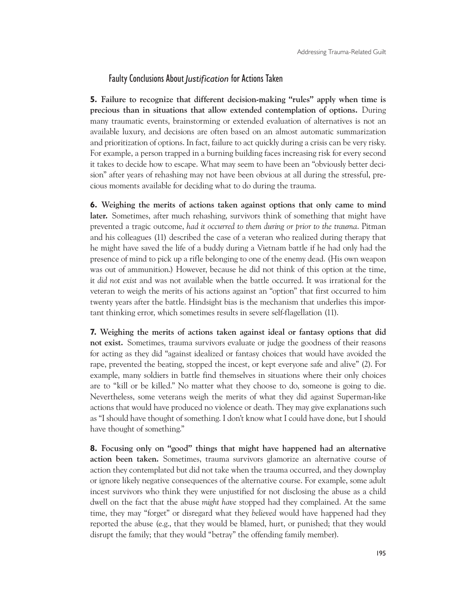#### Faulty Conclusions About *Justification* for Actions Taken

**5. Failure to recognize that different decision-making "rules" apply when time is precious than in situations that allow extended contemplation of options.** During many traumatic events, brainstorming or extended evaluation of alternatives is not an available luxury, and decisions are often based on an almost automatic summarization and prioritization of options. In fact, failure to act quickly during a crisis can be very risky. For example, a person trapped in a burning building faces increasing risk for every second it takes to decide how to escape. What may seem to have been an "obviously better decision" after years of rehashing may not have been obvious at all during the stressful, precious moments available for deciding what to do during the trauma.

**6. Weighing the merits of actions taken against options that only came to mind later.** Sometimes, after much rehashing, survivors think of something that might have prevented a tragic outcome, *had it occurred to them during or prior to the trauma*. Pitman and his colleagues (11) described the case of a veteran who realized during therapy that he might have saved the life of a buddy during a Vietnam battle if he had only had the presence of mind to pick up a rifle belonging to one of the enemy dead. (His own weapon was out of ammunition.) However, because he did not think of this option at the time, it *did not exist* and was not available when the battle occurred. It was irrational for the veteran to weigh the merits of his actions against an "option" that first occurred to him twenty years after the battle. Hindsight bias is the mechanism that underlies this important thinking error, which sometimes results in severe self-flagellation (11).

**7. Weighing the merits of actions taken against ideal or fantasy options that did not exist.** Sometimes, trauma survivors evaluate or judge the goodness of their reasons for acting as they did "against idealized or fantasy choices that would have avoided the rape, prevented the beating, stopped the incest, or kept everyone safe and alive" (2). For example, many soldiers in battle find themselves in situations where their only choices are to "kill or be killed." No matter what they choose to do, someone is going to die. Nevertheless, some veterans weigh the merits of what they did against Superman-like actions that would have produced no violence or death. They may give explanations such as "I should have thought of something. I don't know what I could have done, but I should have thought of something."

**8. Focusing only on "good" things that might have happened had an alternative action been taken.** Sometimes, trauma survivors glamorize an alternative course of action they contemplated but did not take when the trauma occurred, and they downplay or ignore likely negative consequences of the alternative course. For example, some adult incest survivors who think they were unjustified for not disclosing the abuse as a child dwell on the fact that the abuse *might have* stopped had they complained. At the same time, they may "forget" or disregard what they *believed* would have happened had they reported the abuse (e.g., that they would be blamed, hurt, or punished; that they would disrupt the family; that they would "betray" the offending family member).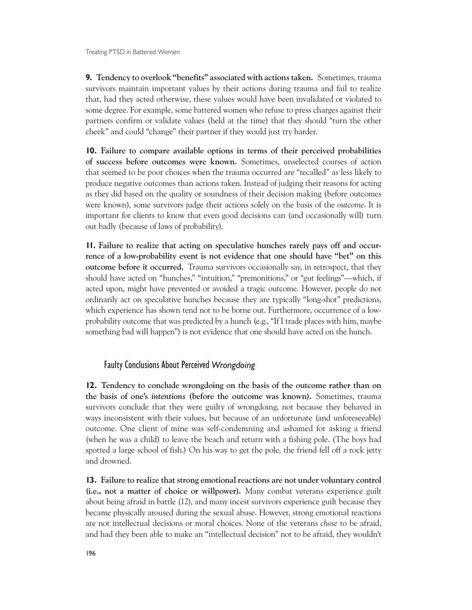**9.** Tendency to overlook "benefits" associated with actions taken. Sometimes, trauma survivors maintain important values by their actions during trauma and fail to realize that, had they acted otherwise, these values would have been invalidated or violated to some degree. For example, some battered women who refuse to press charges against their partners confirm or validate values (held at the time) that they should "turn the other cheek" and could "change" their partner if they would just try harder.

**10. Failure to compare available options in terms of their perceived probabilities of success before outcomes were known.** Sometimes, unselected courses of action that seemed to be poor choices when the trauma occurred are "recalled" as less likely to produce negative outcomes than actions taken. Instead of judging their reasons for acting as they did based on the quality or soundness of their decision making (before outcomes were known), some survivors judge their actions solely on the basis of the *outcome*. It is important for clients to know that even good decisions can (and occasionally will) turn out badly (because of laws of probability).

**11. Failure to realize that acting on speculative hunches rarely pays off and occurrence of a low-probability event is not evidence that one should have "bet" on this outcome before it occurred.** Trauma survivors occasionally say, in retrospect, that they should have acted on "hunches," "intuition," "premonitions," or "gut feelings"—which, if acted upon, might have prevented or avoided a tragic outcome. However, people do not ordinarily act on speculative hunches because they are typically "long-shot" predictions, which experience has shown tend not to be borne out. Furthermore, occurrence of a lowprobability outcome that was predicted by a hunch (e.g., "If I trade places with him, maybe something bad will happen") is not evidence that one should have acted on the hunch.

## Faulty Conclusions About Perceived *Wrongdoing*

**12. Tendency to conclude wrongdoing on the basis of the outcome rather than on the basis of one's** *intentions* **(before the outcome was known).** Sometimes, trauma survivors conclude that they were guilty of wrongdoing, not because they behaved in ways inconsistent with their values, but because of an unfortunate (and unforeseeable) outcome. One client of mine was self-condemning and ashamed for asking a friend (when he was a child) to leave the beach and return with a fishing pole. (The boys had spotted a large school of fish.) On his way to get the pole, the friend fell off a rock jetty and drowned.

**13. Failure to realize that strong emotional reactions are not under voluntary control (i.e., not a matter of choice or willpower).** Many combat veterans experience guilt about being afraid in battle (12), and many incest survivors experience guilt because they became physically aroused during the sexual abuse. However, strong emotional reactions are not intellectual decisions or moral choices. None of the veterans *chose* to be afraid, and had they been able to make an "intellectual decision" not to be afraid, they wouldn't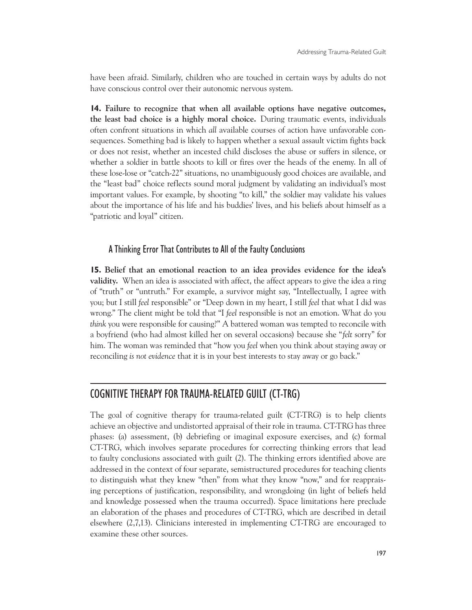have been afraid. Similarly, children who are touched in certain ways by adults do not have conscious control over their autonomic nervous system.

**14. Failure to recognize that when all available options have negative outcomes, the least bad choice is a highly moral choice.** During traumatic events, individuals often confront situations in which *all* available courses of action have unfavorable consequences. Something bad is likely to happen whether a sexual assault victim fights back or does not resist, whether an incested child discloses the abuse or suffers in silence, or whether a soldier in battle shoots to kill or fires over the heads of the enemy. In all of these lose-lose or "catch-22" situations, no unambiguously good choices are available, and the "least bad" choice reflects sound moral judgment by validating an individual's most important values. For example, by shooting "to kill," the soldier may validate his values about the importance of his life and his buddies' lives, and his beliefs about himself as a "patriotic and loyal" citizen.

## A Thinking Error That Contributes to All of the Faulty Conclusions

**15. Belief that an emotional reaction to an idea provides evidence for the idea's validity.** When an idea is associated with affect, the affect appears to give the idea a ring of "truth" or "untruth." For example, a survivor might say, "Intellectually, I agree with you; but I still *feel* responsible" or "Deep down in my heart, I still *feel* that what I did was wrong." The client might be told that "I *feel* responsible is not an emotion. What do you *think* you were responsible for causing?" A battered woman was tempted to reconcile with a boyfriend (who had almost killed her on several occasions) because she "*felt* sorry" for him. The woman was reminded that "how you *feel* when you think about staying away or reconciling *is not evidence* that it is in your best interests to stay away or go back."

# COGNITIVE THERAPY FOR TRAUMA-RELATED GUILT (CT-TRG)

The goal of cognitive therapy for trauma-related guilt (CT-TRG) is to help clients achieve an objective and undistorted appraisal of their role in trauma. CT-TRG has three phases: (a) assessment, (b) debriefing or imaginal exposure exercises, and (c) formal CT-TRG, which involves separate procedures for correcting thinking errors that lead to faulty conclusions associated with guilt (2). The thinking errors identified above are addressed in the context of four separate, semistructured procedures for teaching clients to distinguish what they knew "then" from what they know "now," and for reappraising perceptions of justification, responsibility, and wrongdoing (in light of beliefs held and knowledge possessed when the trauma occurred). Space limitations here preclude an elaboration of the phases and procedures of CT-TRG, which are described in detail elsewhere (2,7,13). Clinicians interested in implementing CT-TRG are encouraged to examine these other sources.